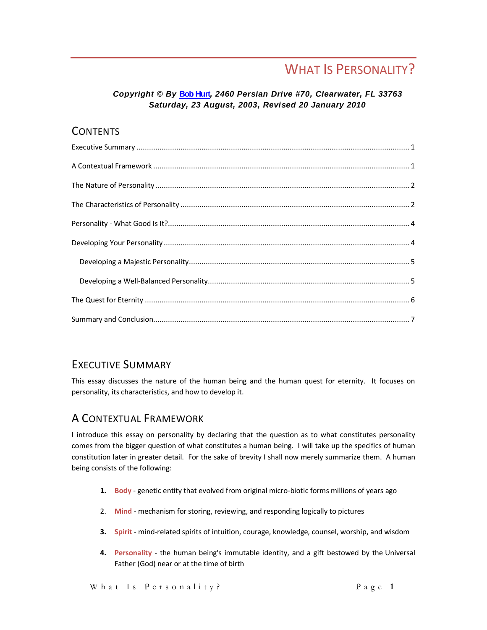# WHAT IS PERSONALITY?

#### *Copyright © By* **[Bob Hurt](http://bobhurt.com/index.mv)***, 2460 Persian Drive #70, Clearwater, FL 33763 Saturday, 23 August, 2003, Revised 20 January 2010*

#### **CONTENTS**

# <span id="page-0-0"></span>EXECUTIVE SUMMARY

This essay discusses the nature of the human being and the human quest for eternity. It focuses on personality, its characteristics, and how to develop it.

# <span id="page-0-1"></span>A CONTEXTUAL FRAMEWORK

I introduce this essay on personality by declaring that the question as to what constitutes personality comes from the bigger question of what constitutes a human being. I will take up the specifics of human constitution later in greater detail. For the sake of brevity I shall now merely summarize them. A human being consists of the following:

- **1. Body** genetic entity that evolved from original micro-biotic forms millions of years ago
- 2. **Mind** mechanism for storing, reviewing, and responding logically to pictures
- **3. Spirit** mind-related spirits of intuition, courage, knowledge, counsel, worship, and wisdom
- **4. Personality** the human being's immutable identity, and a gift bestowed by the Universal Father (God) near or at the time of birth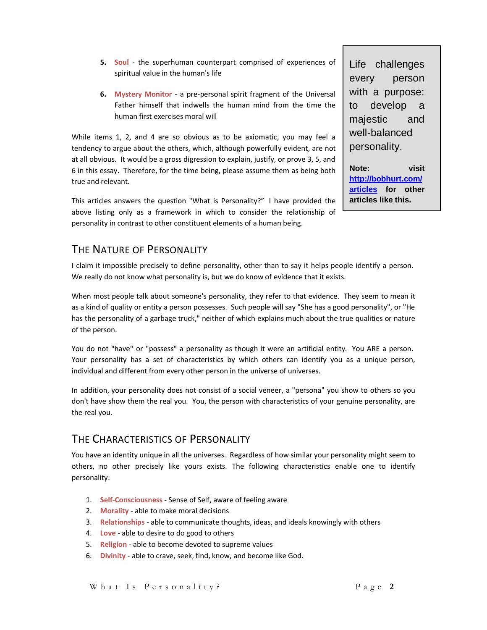- **5. Soul** the superhuman counterpart comprised of experiences of spiritual value in the human's life
- **6. Mystery Monitor** a pre-personal spirit fragment of the Universal Father himself that indwells the human mind from the time the human first exercises moral will

While items 1, 2, and 4 are so obvious as to be axiomatic, you may feel a tendency to argue about the others, which, although powerfully evident, are not at all obvious. It would be a gross digression to explain, justify, or prove 3, 5, and 6 in this essay. Therefore, for the time being, please assume them as being both true and relevant.

This articles answers the question "What is Personality?" I have provided the above listing only as a framework in which to consider the relationship of personality in contrast to other constituent elements of a human being.

Life challenges every person with a purpose: to develop a majestic and well-balanced personality.

**Note: visit [http://bobhurt.com/](http://bobhurt.com/articles) [articles](http://bobhurt.com/articles) for other articles like this.** 

# <span id="page-1-0"></span>THE NATURE OF PERSONALITY

I claim it impossible precisely to define personality, other than to say it helps people identify a person. We really do not know what personality is, but we do know of evidence that it exists.

When most people talk about someone's personality, they refer to that evidence. They seem to mean it as a kind of quality or entity a person possesses. Such people will say "She has a good personality", or "He has the personality of a garbage truck," neither of which explains much about the true qualities or nature of the person.

You do not "have" or "possess" a personality as though it were an artificial entity. You ARE a person. Your personality has a set of characteristics by which others can identify you as a unique person, individual and different from every other person in the universe of universes.

In addition, your personality does not consist of a social veneer, a "persona" you show to others so you don't have show them the real you. You, the person with characteristics of your genuine personality, are the real you.

#### <span id="page-1-1"></span>THE CHARACTERISTICS OF PERSONALITY

You have an identity unique in all the universes. Regardless of how similar your personality might seem to others, no other precisely like yours exists. The following characteristics enable one to identify personality:

- 1. **Self-Consciousness** Sense of Self, aware of feeling aware
- 2. **Morality** able to make moral decisions
- 3. **Relationships** able to communicate thoughts, ideas, and ideals knowingly with others
- 4. **Love** able to desire to do good to others
- 5. **Religion** able to become devoted to supreme values
- 6. **Divinity** able to crave, seek, find, know, and become like God.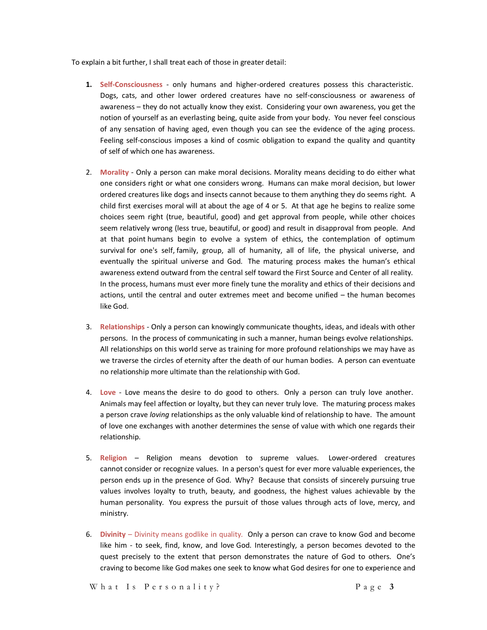To explain a bit further, I shall treat each of those in greater detail:

- **1. Self-Consciousness** only humans and higher-ordered creatures possess this characteristic. Dogs, cats, and other lower ordered creatures have no self-consciousness or awareness of awareness – they do not actually know they exist. Considering your own awareness, you get the notion of yourself as an everlasting being, quite aside from your body. You never feel conscious of any sensation of having aged, even though you can see the evidence of the aging process. Feeling self-conscious imposes a kind of cosmic obligation to expand the quality and quantity of self of which one has awareness.
- 2. **Morality** Only a person can make moral decisions. Morality means deciding to do either what one considers right or what one considers wrong. Humans can make moral decision, but lower ordered creatures like dogs and insects cannot because to them anything they do seems right. A child first exercises moral will at about the age of 4 or 5. At that age he begins to realize some choices seem right (true, beautiful, good) and get approval from people, while other choices seem relatively wrong (less true, beautiful, or good) and result in disapproval from people. And at that point humans begin to evolve a system of ethics, the contemplation of optimum survival for one's self, family, group, all of humanity, all of life, the physical universe, and eventually the spiritual universe and God. The maturing process makes the human's ethical awareness extend outward from the central self toward the First Source and Center of all reality. In the process, humans must ever more finely tune the morality and ethics of their decisions and actions, until the central and outer extremes meet and become unified – the human becomes like God.
- 3. **Relationships** Only a person can knowingly communicate thoughts, ideas, and ideals with other persons. In the process of communicating in such a manner, human beings evolve relationships. All relationships on this world serve as training for more profound relationships we may have as we traverse the circles of eternity after the death of our human bodies. A person can eventuate no relationship more ultimate than the relationship with God.
- 4. **Love** Love means the desire to do good to others. Only a person can truly love another. Animals may feel affection or loyalty, but they can never truly love. The maturing process makes a person crave *loving* relationships as the only valuable kind of relationship to have. The amount of love one exchanges with another determines the sense of value with which one regards their relationship.
- 5. **Religion** Religion means devotion to supreme values. Lower-ordered creatures cannot consider or recognize values. In a person's quest for ever more valuable experiences, the person ends up in the presence of God. Why? Because that consists of sincerely pursuing true values involves loyalty to truth, beauty, and goodness, the highest values achievable by the human personality. You express the pursuit of those values through acts of love, mercy, and ministry.
- 6. **Divinity** Divinity means godlike in quality. Only a person can crave to know God and become like him - to seek, find, know, and love God. Interestingly, a person becomes devoted to the quest precisely to the extent that person demonstrates the nature of God to others. One's craving to become like God makes one seek to know what God desires for one to experience and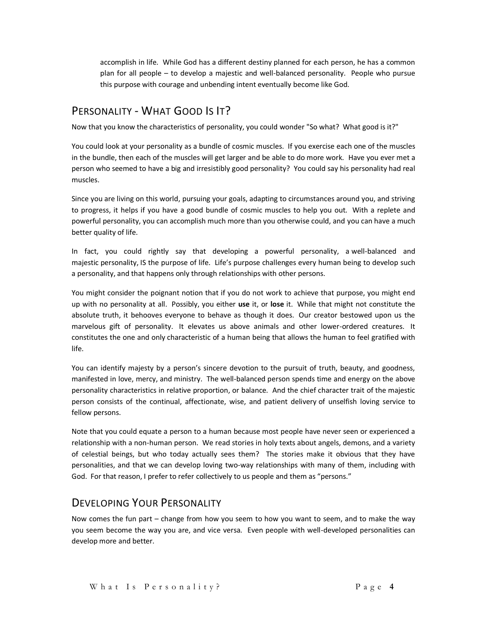accomplish in life. While God has a different destiny planned for each person, he has a common plan for all people – to develop a majestic and well-balanced personality. People who pursue this purpose with courage and unbending intent eventually become like God.

# <span id="page-3-0"></span>PERSONALITY - WHAT GOOD IS IT?

Now that you know the characteristics of personality, you could wonder "So what? What good is it?"

You could look at your personality as a bundle of cosmic muscles. If you exercise each one of the muscles in the bundle, then each of the muscles will get larger and be able to do more work. Have you ever met a person who seemed to have a big and irresistibly good personality? You could say his personality had real muscles.

Since you are living on this world, pursuing your goals, adapting to circumstances around you, and striving to progress, it helps if you have a good bundle of cosmic muscles to help you out. With a replete and powerful personality, you can accomplish much more than you otherwise could, and you can have a much better quality of life.

In fact, you could rightly say that developing a powerful personality, a well-balanced and majestic personality, IS the purpose of life. Life's purpose challenges every human being to develop such a personality, and that happens only through relationships with other persons.

You might consider the poignant notion that if you do not work to achieve that purpose, you might end up with no personality at all. Possibly, you either **use** it, or **lose** it. While that might not constitute the absolute truth, it behooves everyone to behave as though it does. Our creator bestowed upon us the marvelous gift of personality. It elevates us above animals and other lower-ordered creatures. It constitutes the one and only characteristic of a human being that allows the human to feel gratified with life.

You can identify majesty by a person's sincere devotion to the pursuit of truth, beauty, and goodness, manifested in love, mercy, and ministry. The well-balanced person spends time and energy on the above personality characteristics in relative proportion, or balance. And the chief character trait of the majestic person consists of the continual, affectionate, wise, and patient delivery of unselfish loving service to fellow persons.

Note that you could equate a person to a human because most people have never seen or experienced a relationship with a non-human person. We read stories in holy texts about angels, demons, and a variety of celestial beings, but who today actually sees them? The stories make it obvious that they have personalities, and that we can develop loving two-way relationships with many of them, including with God. For that reason, I prefer to refer collectively to us people and them as "persons."

# <span id="page-3-1"></span>DEVELOPING YOUR PERSONALITY

Now comes the fun part – change from how you seem to how you want to seem, and to make the way you seem become the way you are, and vice versa. Even people with well-developed personalities can develop more and better.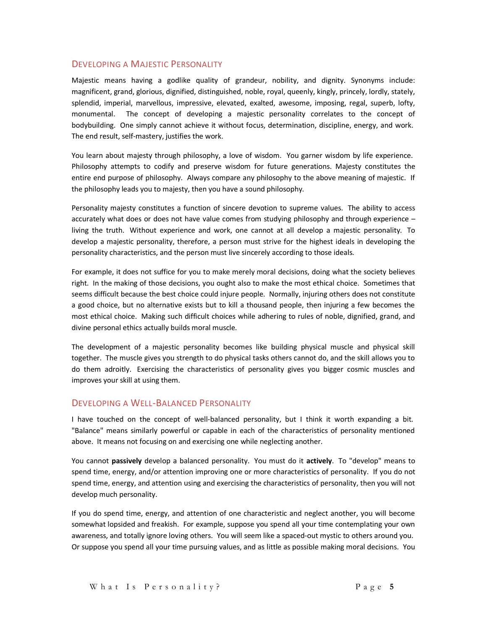#### <span id="page-4-0"></span>DEVELOPING A MAJESTIC PERSONALITY

Majestic means having a godlike quality of grandeur, nobility, and dignity. Synonyms include: magnificent, grand, glorious, dignified, distinguished, noble, royal, queenly, kingly, princely, lordly, stately, splendid, imperial, [marvellous,](ww:marvellous) impressive, elevated, exalted, awesome, imposing, regal, superb, lofty, monumental. The concept of developing a majestic personality correlates to the concept of bodybuilding. One simply cannot achieve it without focus, determination, discipline, energy, and work. The end result, self-mastery, justifies the work.

You learn about majesty through philosophy, a love of wisdom. You garner wisdom by life experience. Philosophy attempts to codify and preserve wisdom for future generations. Majesty constitutes the entire end purpose of philosophy. Always compare any philosophy to the above meaning of majestic. If the philosophy leads you to majesty, then you have a sound philosophy.

Personality majesty constitutes a function of sincere devotion to supreme values. The ability to access accurately what does or does not have value comes from studying philosophy and through experience – living the truth. Without experience and work, one cannot at all develop a majestic personality. To develop a majestic personality, therefore, a person must strive for the highest ideals in developing the personality characteristics, and the person must live sincerely according to those ideals.

For example, it does not suffice for you to make merely moral decisions, doing what the society believes right. In the making of those decisions, you ought also to make the most ethical choice. Sometimes that seems difficult because the best choice could injure people. Normally, injuring others does not constitute a good choice, but no alternative exists but to kill a thousand people, then injuring a few becomes the most ethical choice. Making such difficult choices while adhering to rules of noble, dignified, grand, and divine personal ethics actually builds moral muscle.

The development of a majestic personality becomes like building physical muscle and physical skill together. The muscle gives you strength to do physical tasks others cannot do, and the skill allows you to do them adroitly. Exercising the characteristics of personality gives you bigger cosmic muscles and improves your skill at using them.

#### <span id="page-4-1"></span>DEVELOPING A WELL-BALANCED PERSONALITY

I have touched on the concept of well-balanced personality, but I think it worth expanding a bit. "Balance" means similarly powerful or capable in each of the characteristics of personality mentioned above. It means not focusing on and exercising one while neglecting another.

You cannot **passively** develop a balanced personality. You must do it **actively**. To "develop" means to spend time, energy, and/or attention improving one or more characteristics of personality. If you do not spend time, energy, and attention using and exercising the characteristics of personality, then you will not develop much personality.

If you do spend time, energy, and attention of one characteristic and neglect another, you will become somewhat lopsided and freakish. For example, suppose you spend all your time contemplating your own awareness, and totally ignore loving others. You will seem like a spaced-out mystic to others around you. Or suppose you spend all your time pursuing values, and as little as possible making moral decisions. You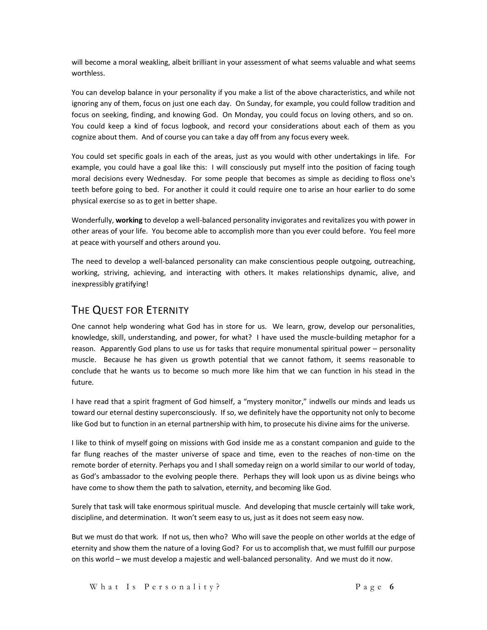will become a moral weakling, albeit brilliant in your assessment of what seems valuable and what seems worthless.

You can develop balance in your personality if you make a list of the above characteristics, and while not ignoring any of them, focus on just one each day. On Sunday, for example, you could follow tradition and focus on seeking, finding, and knowing God. On Monday, you could focus on loving others, and so on. You could keep a kind of focus logbook, and record your considerations about each of them as you cognize about them. And of course you can take a day off from any focus every week.

You could set specific goals in each of the areas, just as you would with other undertakings in life. For example, you could have a goal like this: I will consciously put myself into the position of facing tough moral decisions every Wednesday. For some people that becomes as simple as deciding to floss one's teeth before going to bed. For another it could it could require one to arise an hour earlier to do some physical exercise so as to get in better shape.

Wonderfully, **working** to develop a well-balanced personality invigorates and revitalizes you with power in other areas of your life. You become able to accomplish more than you ever could before. You feel more at peace with yourself and others around you.

The need to develop a well-balanced personality can make conscientious people outgoing, outreaching, working, striving, achieving, and interacting with others. It makes relationships dynamic, alive, and inexpressibly gratifying!

#### <span id="page-5-0"></span>THE QUEST FOR ETERNITY

One cannot help wondering what God has in store for us. We learn, grow, develop our personalities, knowledge, skill, understanding, and power, for what? I have used the muscle-building metaphor for a reason. Apparently God plans to use us for tasks that require monumental spiritual power – personality muscle. Because he has given us growth potential that we cannot fathom, it seems reasonable to conclude that he wants us to become so much more like him that we can function in his stead in the future.

I have read that a spirit fragment of God himself, a "mystery monitor," indwells our minds and leads us toward our eternal destiny superconsciously. If so, we definitely have the opportunity not only to become like God but to function in an eternal partnership with him, to prosecute his divine aims for the universe.

I like to think of myself going on missions with God inside me as a constant companion and guide to the far flung reaches of the master universe of space and time, even to the reaches of non-time on the remote border of eternity. Perhaps you and I shall someday reign on a world similar to our world of today, as God's ambassador to the evolving people there. Perhaps they will look upon us as divine beings who have come to show them the path to salvation, eternity, and becoming like God.

Surely that task will take enormous spiritual muscle. And developing that muscle certainly will take work, discipline, and determination. It won't seem easy to us, just as it does not seem easy now.

But we must do that work. If not us, then who? Who will save the people on other worlds at the edge of eternity and show them the nature of a loving God? For us to accomplish that, we must fulfill our purpose on this world – we must develop a majestic and well-balanced personality. And we must do it now.